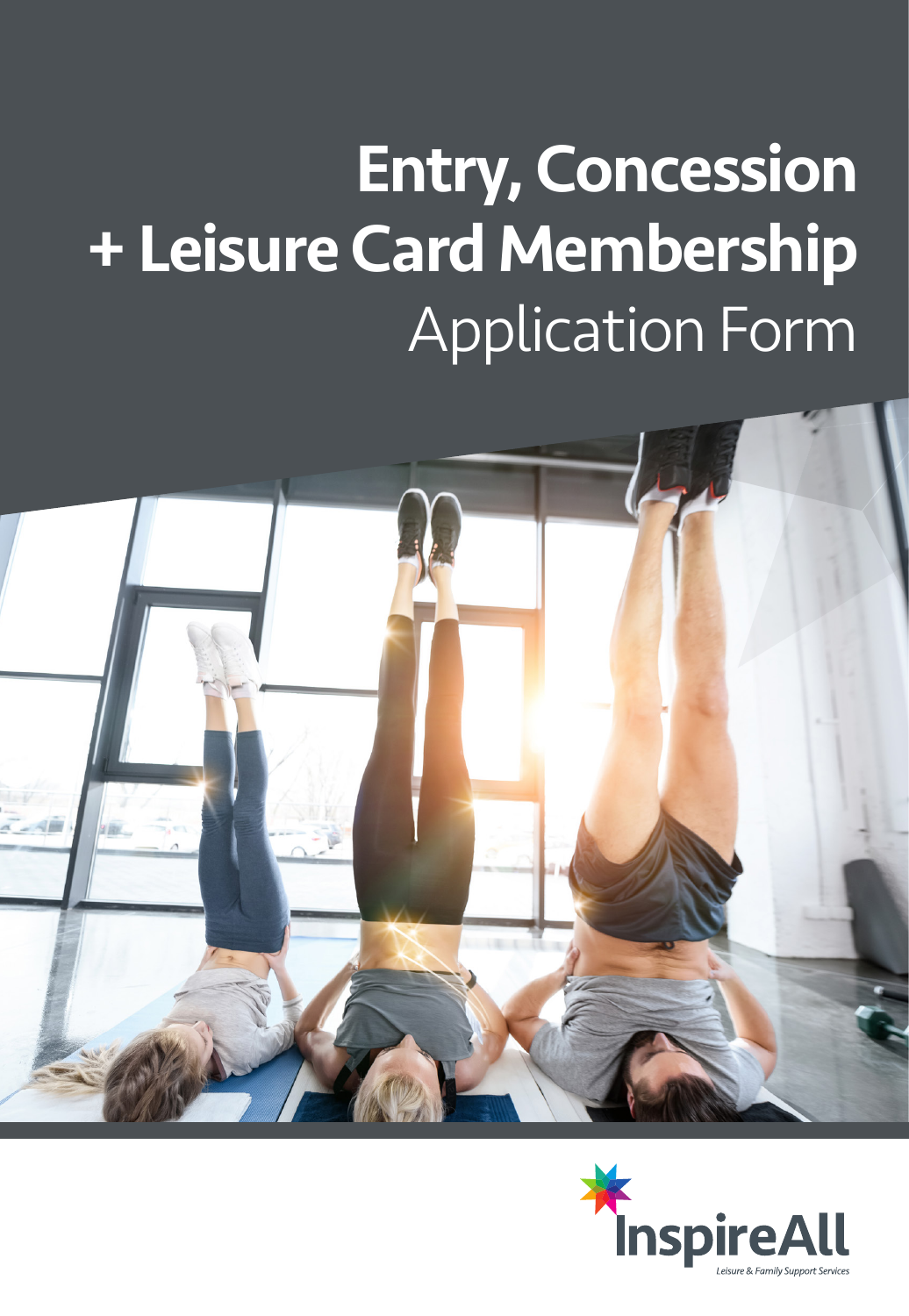# Entry, Concession + Leisure Card Membership Application Form



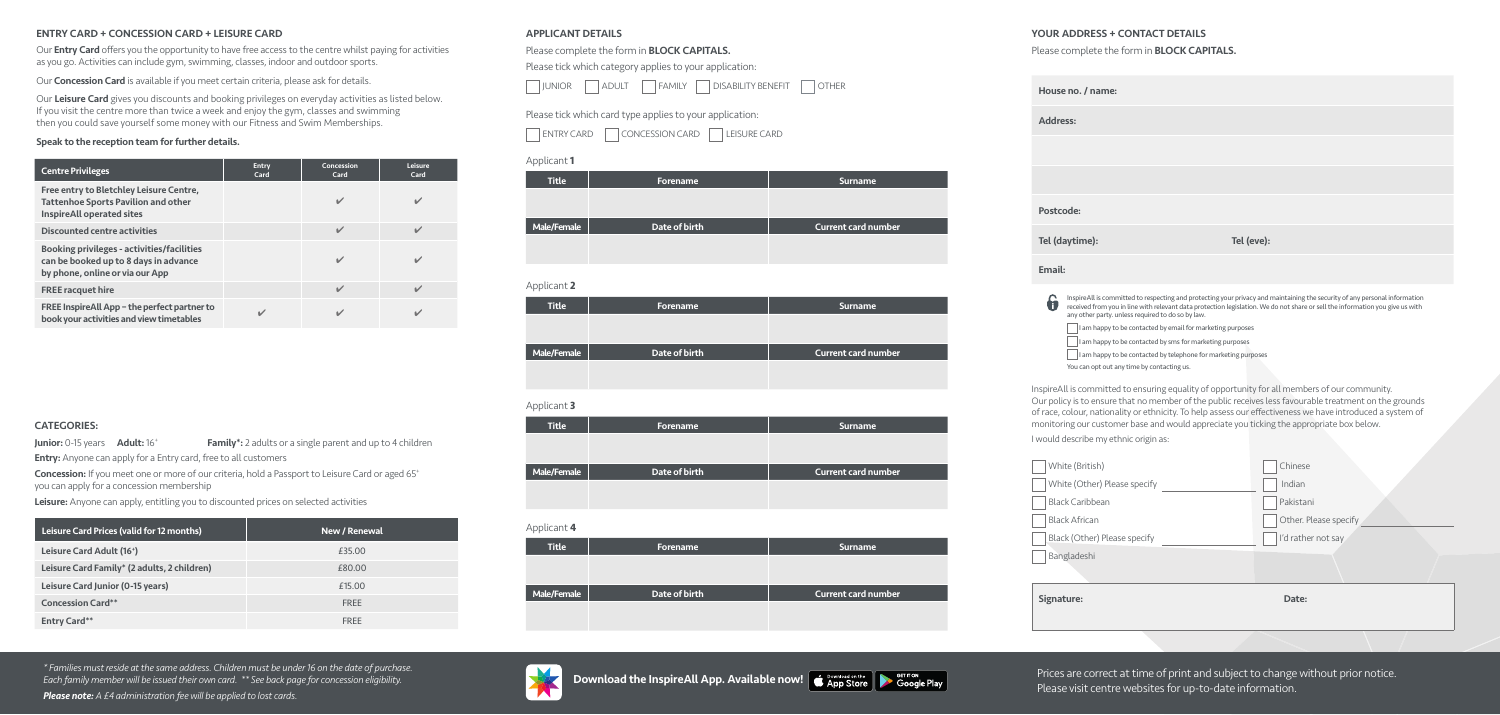### APPLICANT DETAILS

#### Please complete the form in **BLOCK CAPITALS.**

Please tick which category applies to your application:

| <b>JUNIOR</b> | <b>ADULT</b> | <b>FAMILY</b> | <b>DISABILITY BENEFIT</b> | <b>OTHER</b> |
|---------------|--------------|---------------|---------------------------|--------------|
|               |              |               |                           |              |

Please tick which card type applies to your application:



| <b>Title</b> | <b>Forename</b> | <b>Surname</b>             |
|--------------|-----------------|----------------------------|
|              |                 |                            |
|              |                 |                            |
|              |                 |                            |
| Male/Female  | Date of birth   | <b>Current card number</b> |
|              |                 |                            |
|              |                 |                            |

#### Applicant **1**

Address:

**Postcode** 

**Tel (dayt** 

Email:

Please complete the form in **BLOCK CAPITALS.** 

| <b>Title</b> | Forename      | <b>Surname</b>             |
|--------------|---------------|----------------------------|
|              |               |                            |
|              |               |                            |
|              |               |                            |
| Male/Female  | Date of birth | <b>Current card number</b> |
|              |               |                            |

Applicant **2**

| <b>Title</b> | <b>Forename</b> | <b>Surname</b>             |
|--------------|-----------------|----------------------------|
|              |                 |                            |
|              |                 |                            |
|              |                 |                            |
| Male/Female  | Date of birth   | <b>Current card number</b> |
|              |                 |                            |

#### Applicant **3**

| <b>Title</b> | <b>Forename</b> | <b>Surname</b>             |
|--------------|-----------------|----------------------------|
|              |                 |                            |
|              |                 |                            |
| Male/Female  | Date of birth   | <b>Current card number</b> |
|              |                 |                            |
|              |                 |                            |



Applicant **4**

InspireAll is committed to ensuring equality of opportunity for all members of our community. Our policy is to ensure that no member of the public receives less favourable treatment on the grounds of race, colour, nationality or ethnicity. To help assess our effectiveness we have introduced a system of monitoring our customer base and would appreciate you ticking the appropriate box below.

I would describe my ethnic origin as:









## YOUR ADDRESS + CONTACT DETAILS

House no

Our **Entry Card** offers you the opportunity to have free access to the centre whilst paying for activities as you go. Activities can include gym, swimming, classes, indoor and outdoor sports.

Our **Concession Card** is available if you meet certain criteria, please ask for details.

| British)              | Chinese               |
|-----------------------|-----------------------|
| Other) Please specify | Indian                |
| aribbean              | Pakistani             |
| rican                 | Other. Please specify |
| ther) Please specify  | I'd rather not say    |
| eshi                  |                       |
|                       |                       |
| ÷.                    | Date:                 |
|                       |                       |

Prices are correct at time of print and subject to change without prior notice. Please visit centre websites for up-to-date information.

Our Leisure Card gives you discounts and booking privileges on everyday activities as listed below. If you visit the centre more than twice a week and enjoy the gym, classes and swimming then you could save yourself some money with our Fitness and Swim Memberships.

Concession: If you meet one or more of our criteria, hold a Passport to Leisure Card or aged 65<sup>+</sup> you can apply for a concession membership

Leisure: Anyone can apply, entitling you to discounted prices on selected activities

*\* Families must reside at the same address. Children must be under 16 on the date of purchase. Each family member will be issued their own card. \*\* See back page for concession eligibility. Please note: A £4 administration fee will be applied to lost cards.* 

| no. / name:                                       |                                                                                                                                                                                                                                                             |
|---------------------------------------------------|-------------------------------------------------------------------------------------------------------------------------------------------------------------------------------------------------------------------------------------------------------------|
| SS:                                               |                                                                                                                                                                                                                                                             |
|                                                   |                                                                                                                                                                                                                                                             |
|                                                   |                                                                                                                                                                                                                                                             |
| de:                                               |                                                                                                                                                                                                                                                             |
| ytime):                                           | Tel (eve):                                                                                                                                                                                                                                                  |
|                                                   |                                                                                                                                                                                                                                                             |
| any other party. unless required to do so by law. | InspireAll is committed to respecting and protecting your privacy and maintaining the security of any personal information<br>received from you in line with relevant data protection legislation. We do not share or sell the information you give us with |

I am happy to be contacted by email for marketing purposes

 $\Box$  I am happy to be contacted by sms for marketing purposes

 $\Box$  I am happy to be contacted by telephone for marketing purposes

You can opt out any time by contacting us.

#### ENTRY CARD + CONCESSION CARD + LEISURE CARD

#### Speak to the reception team for further details.

#### CATEGORIES:

**Junior:** 0-15 years **Adult:** 16<sup>+</sup> **Family**\*: 2 adults or a single parent and up to 4 children **Entry:** Anyone can apply for a Entry card, free to all customers

| <b>Centre Privileges</b>                                                                                                      | <b>Entry</b><br>Card | Concession<br>Card       | Leisure<br>Card          |
|-------------------------------------------------------------------------------------------------------------------------------|----------------------|--------------------------|--------------------------|
| Free entry to Bletchley Leisure Centre,<br><b>Tattenhoe Sports Pavilion and other</b><br><b>InspireAll operated sites</b>     |                      | ✔                        | V                        |
| <b>Discounted centre activities</b>                                                                                           |                      | $\checkmark$             | $\checkmark$             |
| <b>Booking privileges - activities/facilities</b><br>can be booked up to 8 days in advance<br>by phone, online or via our App |                      | ✔                        | ✔                        |
| <b>FREE racquet hire</b>                                                                                                      |                      | $\overline{\mathscr{L}}$ | $\overline{\mathscr{L}}$ |
| FREE InspireAll App - the perfect partner to<br>book your activities and view timetables                                      |                      |                          | ✔                        |

| Leisure Card Prices (valid for 12 months)   | New / Renewal |
|---------------------------------------------|---------------|
| Leisure Card Adult (16 <sup>+</sup> )       | £35.00        |
| Leisure Card Family* (2 adults, 2 children) | £80.00        |
| Leisure Card Junior (0-15 years)            | £15.00        |
| <b>Concession Card**</b>                    | <b>FRFF</b>   |
| <b>Entry Card**</b>                         | <b>FRFF</b>   |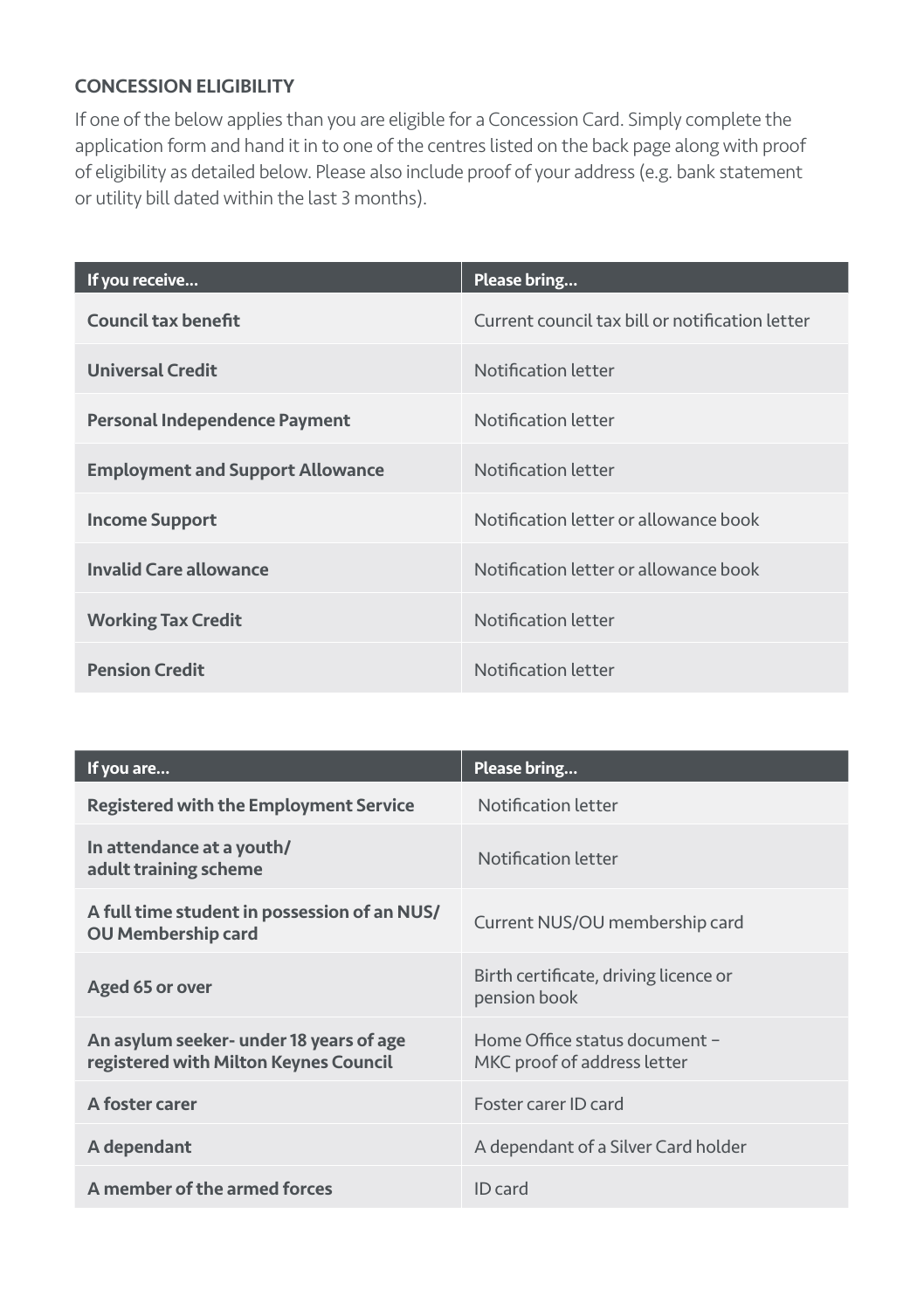#### CONCESSION ELIGIBILITY

If one of the below applies than you are eligible for a Concession Card. Simply complete the application form and hand it in to one of the centres listed on the back page along with proof of eligibility as detailed below. Please also include proof of your address (e.g. bank statement or utility bill dated within the last 3 months).

| If you receive                          | Please bring                                    |
|-----------------------------------------|-------------------------------------------------|
| Council tax benefit                     | Current council tax bill or notification letter |
| <b>Universal Credit</b>                 | Notification letter                             |
| Personal Independence Payment           | Notification letter                             |
| <b>Employment and Support Allowance</b> | Notification letter                             |
| <b>Income Support</b>                   | Notification letter or allowance book           |
| Invalid Care allowance                  | Notification letter or allowance book           |
| <b>Working Tax Credit</b>               | Notification letter                             |
| <b>Pension Credit</b>                   | Notification letter                             |

| If you are                                                                       | Please bring                                                 |
|----------------------------------------------------------------------------------|--------------------------------------------------------------|
| Registered with the Employment Service                                           | Notification letter                                          |
| In attendance at a youth/<br>adult training scheme                               | Notification letter                                          |
| A full time student in possession of an NUS/<br><b>OU Membership card</b>        | Current NUS/OU membership card                               |
| Aged 65 or over                                                                  | Birth certificate, driving licence or<br>pension book        |
| An asylum seeker- under 18 years of age<br>registered with Milton Keynes Council | Home Office status document -<br>MKC proof of address letter |
| A foster carer                                                                   | Foster carer ID card                                         |
| A dependant                                                                      | A dependant of a Silver Card holder                          |
| A member of the armed forces                                                     | ID card                                                      |